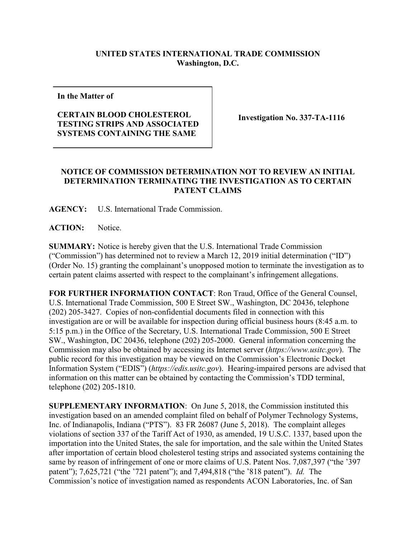## **UNITED STATES INTERNATIONAL TRADE COMMISSION Washington, D.C.**

**In the Matter of**

## **CERTAIN BLOOD CHOLESTEROL TESTING STRIPS AND ASSOCIATED SYSTEMS CONTAINING THE SAME**

**Investigation No. 337-TA-1116**

## **NOTICE OF COMMISSION DETERMINATION NOT TO REVIEW AN INITIAL DETERMINATION TERMINATING THE INVESTIGATION AS TO CERTAIN PATENT CLAIMS**

**AGENCY:** U.S. International Trade Commission.

**ACTION:** Notice.

**SUMMARY:** Notice is hereby given that the U.S. International Trade Commission ("Commission") has determined not to review a March 12, 2019 initial determination ("ID") (Order No. 15) granting the complainant's unopposed motion to terminate the investigation as to certain patent claims asserted with respect to the complainant's infringement allegations.

**FOR FURTHER INFORMATION CONTACT**: Ron Traud, Office of the General Counsel, U.S. International Trade Commission, 500 E Street SW., Washington, DC 20436, telephone (202) 205-3427. Copies of non-confidential documents filed in connection with this investigation are or will be available for inspection during official business hours (8:45 a.m. to 5:15 p.m.) in the Office of the Secretary, U.S. International Trade Commission, 500 E Street SW., Washington, DC 20436, telephone (202) 205-2000. General information concerning the Commission may also be obtained by accessing its Internet server (*https://www.usitc.gov*). The public record for this investigation may be viewed on the Commission's Electronic Docket Information System ("EDIS") (*https://edis.usitc.gov*). Hearing-impaired persons are advised that information on this matter can be obtained by contacting the Commission's TDD terminal, telephone (202) 205-1810.

**SUPPLEMENTARY INFORMATION**: On June 5, 2018, the Commission instituted this investigation based on an amended complaint filed on behalf of Polymer Technology Systems, Inc. of Indianapolis, Indiana ("PTS"). 83 FR 26087 (June 5, 2018). The complaint alleges violations of section 337 of the Tariff Act of 1930, as amended, 19 U.S.C. 1337, based upon the importation into the United States, the sale for importation, and the sale within the United States after importation of certain blood cholesterol testing strips and associated systems containing the same by reason of infringement of one or more claims of U.S. Patent Nos. 7,087,397 ("the '397 patent"); 7,625,721 ("the '721 patent"); and 7,494,818 ("the '818 patent"). *Id.* The Commission's notice of investigation named as respondents ACON Laboratories, Inc. of San